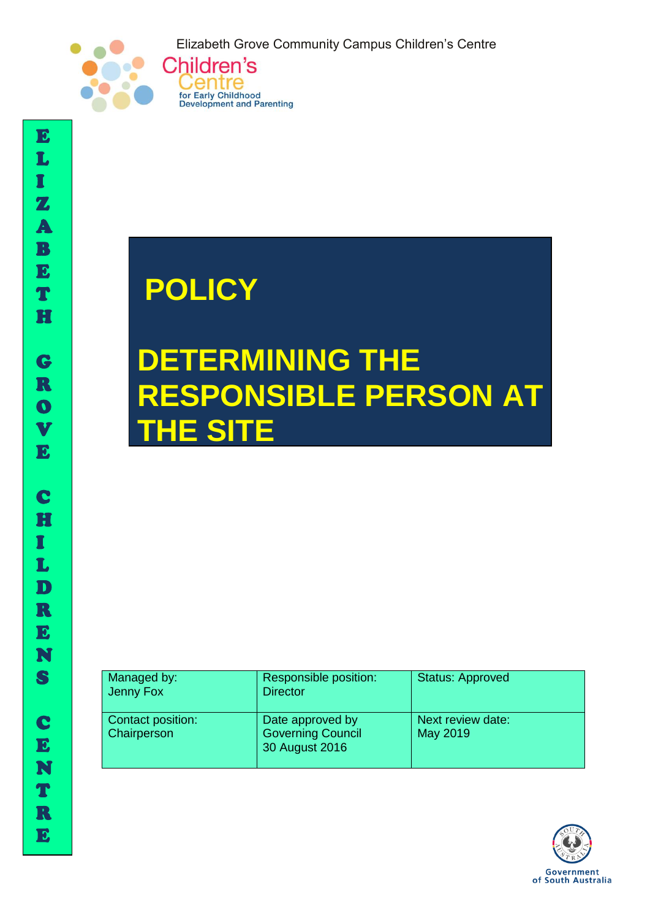Elizabeth Grove Community Campus Children's Centre



# **POLICY**

Centre

for Early Childhood<br>Development and Parenting

## **DETERMINING THE RESPONSIBLE PERSON AT E SITE**

| Managed by:<br>Jenny Fox         | Responsible position:<br><b>Director</b>                       | <b>Status: Approved</b>       |
|----------------------------------|----------------------------------------------------------------|-------------------------------|
| Contact position:<br>Chairperson | Date approved by<br><b>Governing Council</b><br>30 August 2016 | Next review date:<br>May 2019 |



I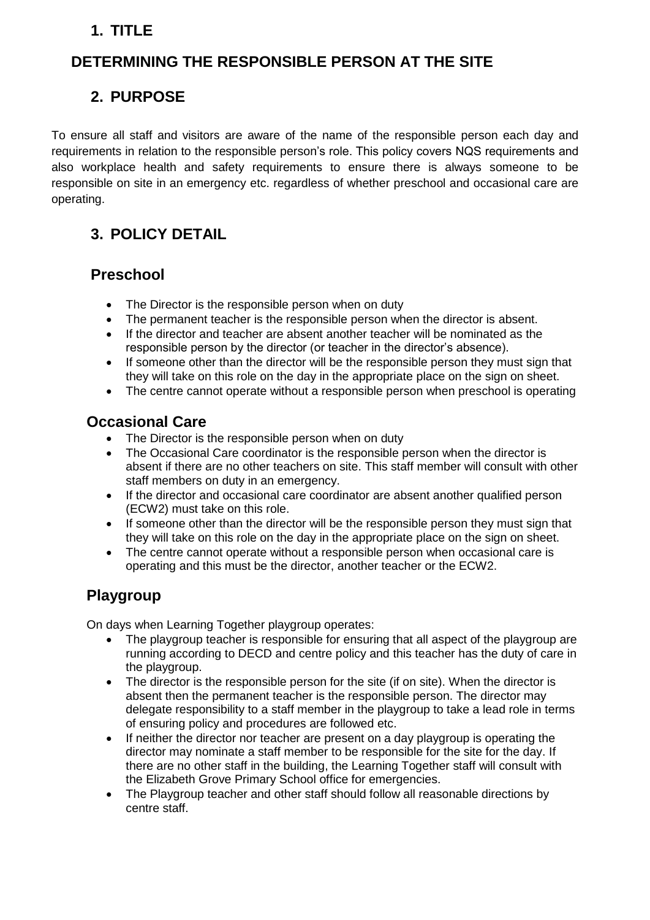## **1. TITLE**

## **DETERMINING THE RESPONSIBLE PERSON AT THE SITE**

## **2. PURPOSE**

To ensure all staff and visitors are aware of the name of the responsible person each day and requirements in relation to the responsible person's role. This policy covers NQS requirements and also workplace health and safety requirements to ensure there is always someone to be responsible on site in an emergency etc. regardless of whether preschool and occasional care are operating.

## **3. POLICY DETAIL**

#### **Preschool**

- The Director is the responsible person when on duty
- The permanent teacher is the responsible person when the director is absent.
- If the director and teacher are absent another teacher will be nominated as the responsible person by the director (or teacher in the director's absence).
- If someone other than the director will be the responsible person they must sign that they will take on this role on the day in the appropriate place on the sign on sheet.
- The centre cannot operate without a responsible person when preschool is operating

#### **Occasional Care**

- The Director is the responsible person when on duty
- The Occasional Care coordinator is the responsible person when the director is absent if there are no other teachers on site. This staff member will consult with other staff members on duty in an emergency.
- If the director and occasional care coordinator are absent another qualified person (ECW2) must take on this role.
- If someone other than the director will be the responsible person they must sign that they will take on this role on the day in the appropriate place on the sign on sheet.
- The centre cannot operate without a responsible person when occasional care is operating and this must be the director, another teacher or the ECW2.

### **Playgroup**

On days when Learning Together playgroup operates:

- The playgroup teacher is responsible for ensuring that all aspect of the playgroup are running according to DECD and centre policy and this teacher has the duty of care in the playgroup.
- The director is the responsible person for the site (if on site). When the director is absent then the permanent teacher is the responsible person. The director may delegate responsibility to a staff member in the playgroup to take a lead role in terms of ensuring policy and procedures are followed etc.
- If neither the director nor teacher are present on a day playgroup is operating the director may nominate a staff member to be responsible for the site for the day. If there are no other staff in the building, the Learning Together staff will consult with the Elizabeth Grove Primary School office for emergencies.
- The Playgroup teacher and other staff should follow all reasonable directions by centre staff.